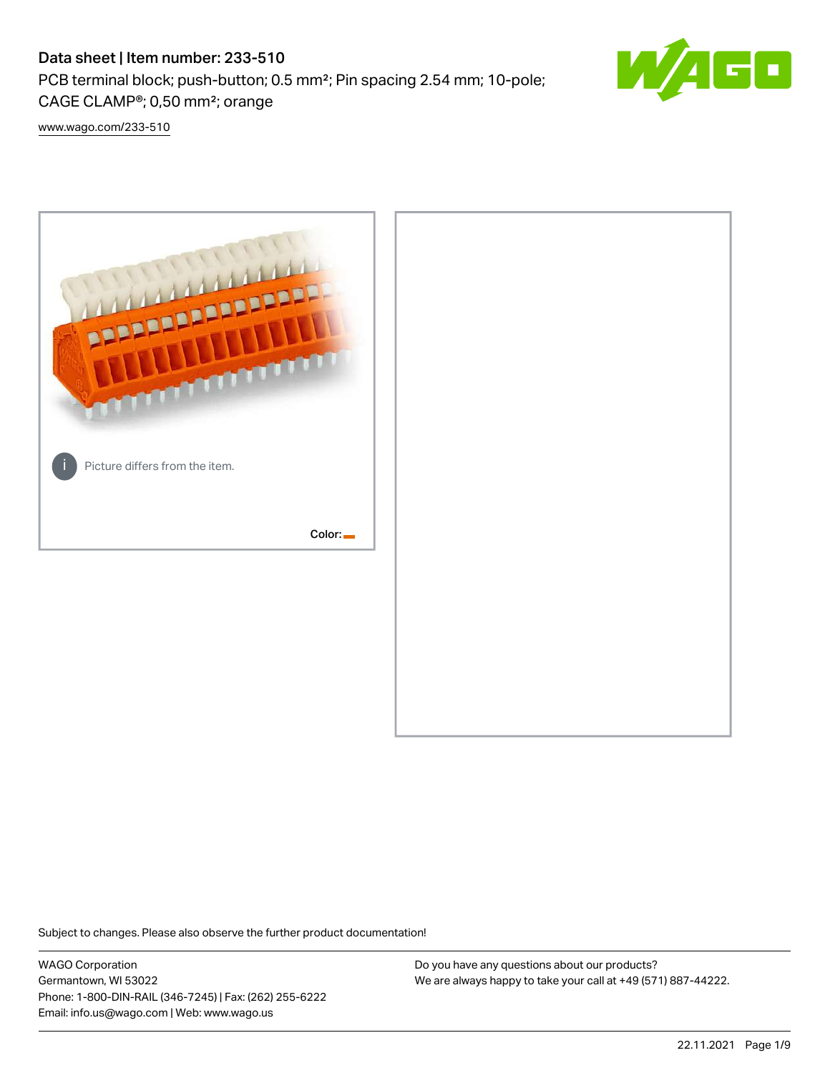# Data sheet | Item number: 233-510

PCB terminal block; push-button; 0.5 mm²; Pin spacing 2.54 mm; 10-pole; CAGE CLAMP®; 0,50 mm²; orange



[www.wago.com/233-510](http://www.wago.com/233-510)



Subject to changes. Please also observe the further product documentation!

WAGO Corporation Germantown, WI 53022 Phone: 1-800-DIN-RAIL (346-7245) | Fax: (262) 255-6222 Email: info.us@wago.com | Web: www.wago.us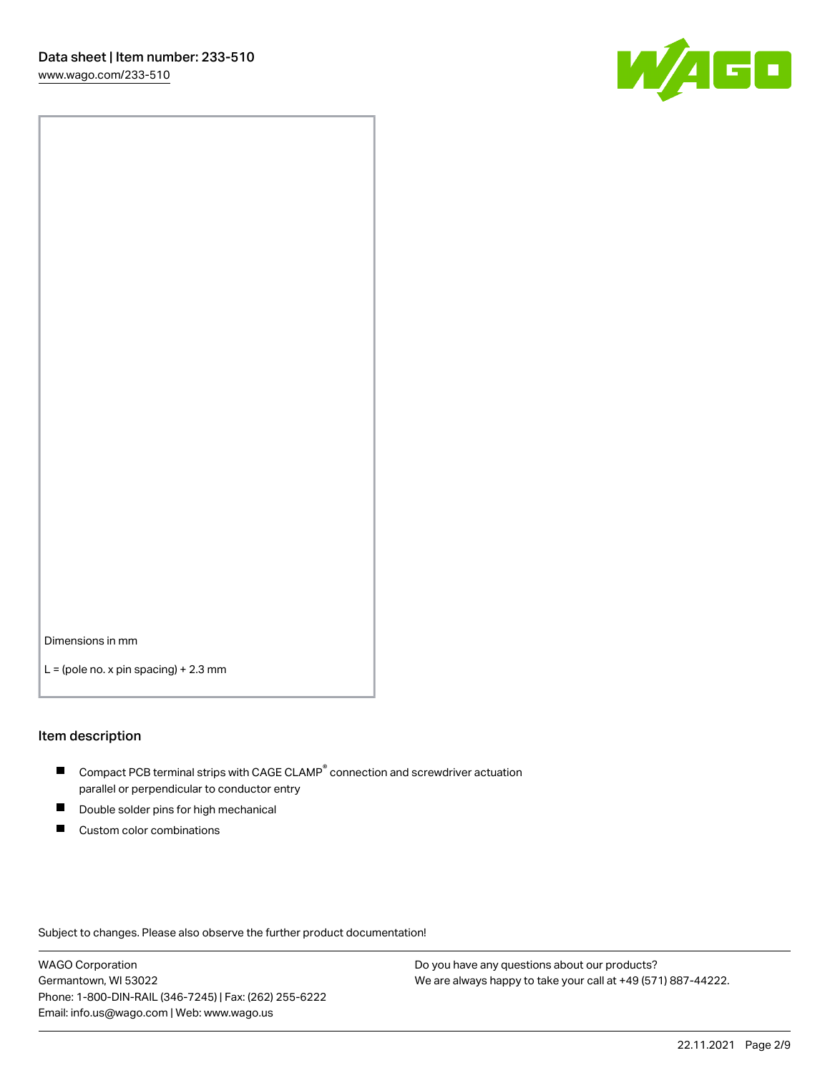

Dimensions in mm

 $L =$  (pole no. x pin spacing) + 2.3 mm

### Item description

- $\blacksquare$  Compact PCB terminal strips with CAGE CLAMP<sup>®</sup> connection and screwdriver actuation parallel or perpendicular to conductor entry
- П Double solder pins for high mechanical
- $\blacksquare$ Custom color combinations

Subject to changes. Please also observe the further product documentation!

WAGO Corporation Germantown, WI 53022 Phone: 1-800-DIN-RAIL (346-7245) | Fax: (262) 255-6222 Email: info.us@wago.com | Web: www.wago.us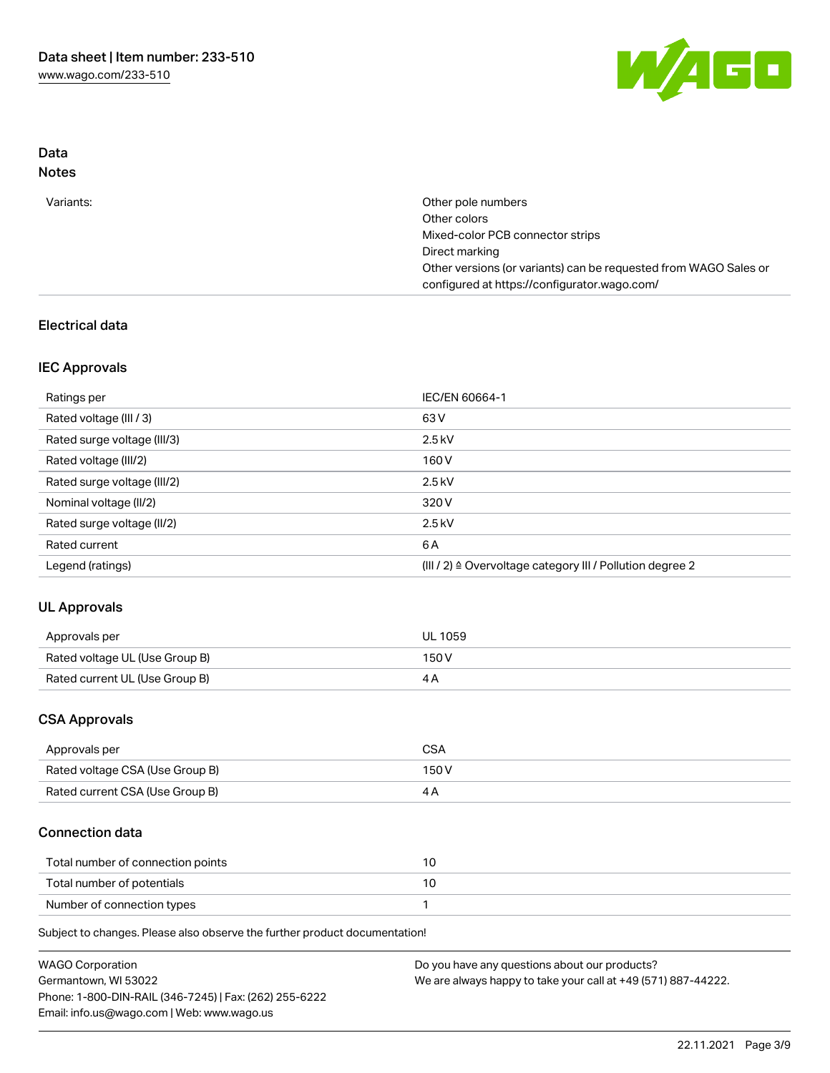

### Data Notes

| Variants: | Other pole numbers                                               |
|-----------|------------------------------------------------------------------|
|           | Other colors                                                     |
|           | Mixed-color PCB connector strips                                 |
|           | Direct marking                                                   |
|           | Other versions (or variants) can be requested from WAGO Sales or |
|           | configured at https://configurator.wago.com/                     |

## Electrical data

### IEC Approvals

| Ratings per                 | IEC/EN 60664-1                                                        |
|-----------------------------|-----------------------------------------------------------------------|
| Rated voltage (III / 3)     | 63 V                                                                  |
| Rated surge voltage (III/3) | $2.5$ kV                                                              |
| Rated voltage (III/2)       | 160 V                                                                 |
| Rated surge voltage (III/2) | $2.5$ kV                                                              |
| Nominal voltage (II/2)      | 320 V                                                                 |
| Rated surge voltage (II/2)  | $2.5$ kV                                                              |
| Rated current               | 6 A                                                                   |
| Legend (ratings)            | $(III / 2)$ $\triangle$ Overvoltage category III / Pollution degree 2 |

# UL Approvals

| Approvals per                  | <b>UL 1059</b> |
|--------------------------------|----------------|
| Rated voltage UL (Use Group B) | 150V           |
| Rated current UL (Use Group B) |                |

### CSA Approvals

| Approvals per                   | CSA   |
|---------------------------------|-------|
| Rated voltage CSA (Use Group B) | 150 V |
| Rated current CSA (Use Group B) |       |

### Connection data

| Total number of connection points |  |
|-----------------------------------|--|
| Total number of potentials        |  |
| Number of connection types        |  |

Subject to changes. Please also observe the further product documentation!

| <b>WAGO Corporation</b>                                | Do you have any questions about our products?                 |
|--------------------------------------------------------|---------------------------------------------------------------|
| Germantown, WI 53022                                   | We are always happy to take your call at +49 (571) 887-44222. |
| Phone: 1-800-DIN-RAIL (346-7245)   Fax: (262) 255-6222 |                                                               |
| Email: info.us@wago.com   Web: www.wago.us             |                                                               |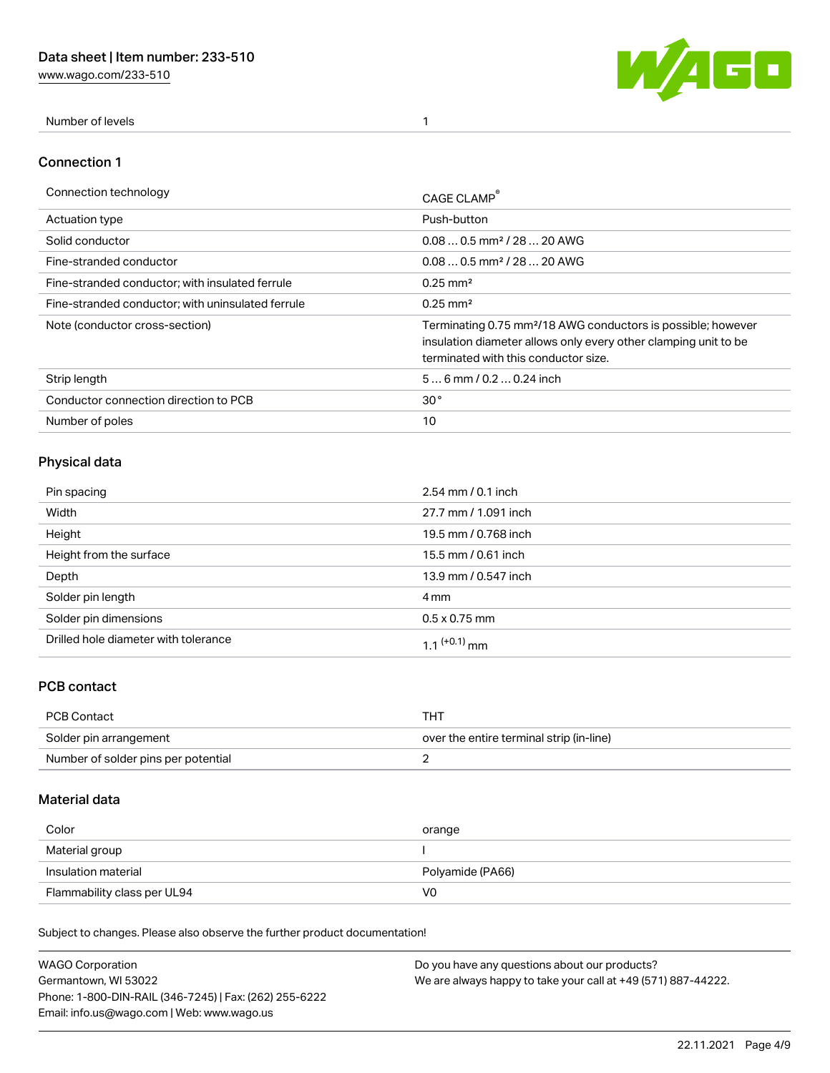[www.wago.com/233-510](http://www.wago.com/233-510)



Number of levels 1

### Connection 1

| Connection technology                             | CAGE CLAMP                                                                                                                                                                          |
|---------------------------------------------------|-------------------------------------------------------------------------------------------------------------------------------------------------------------------------------------|
| <b>Actuation type</b>                             | Push-button                                                                                                                                                                         |
| Solid conductor                                   | $0.080.5$ mm <sup>2</sup> / 28  20 AWG                                                                                                                                              |
| Fine-stranded conductor                           | $0.080.5$ mm <sup>2</sup> / 28  20 AWG                                                                                                                                              |
| Fine-stranded conductor; with insulated ferrule   | $0.25 \text{ mm}^2$                                                                                                                                                                 |
| Fine-stranded conductor: with uninsulated ferrule | $0.25 \text{ mm}^2$                                                                                                                                                                 |
| Note (conductor cross-section)                    | Terminating 0.75 mm <sup>2</sup> /18 AWG conductors is possible; however<br>insulation diameter allows only every other clamping unit to be<br>terminated with this conductor size. |
| Strip length                                      | $56$ mm $/ 0.20.24$ inch                                                                                                                                                            |
| Conductor connection direction to PCB             | 30 <sup>°</sup>                                                                                                                                                                     |
| Number of poles                                   | 10                                                                                                                                                                                  |

# Physical data

| Pin spacing                          | $2.54 \, \text{mm}$ / 0.1 inch |
|--------------------------------------|--------------------------------|
| Width                                | 27.7 mm / 1.091 inch           |
| Height                               | 19.5 mm / 0.768 inch           |
| Height from the surface              | 15.5 mm / 0.61 inch            |
| Depth                                | 13.9 mm / 0.547 inch           |
| Solder pin length                    | 4 mm                           |
| Solder pin dimensions                | $0.5 \times 0.75$ mm           |
| Drilled hole diameter with tolerance | 1 1 $(+0.1)$ mm                |

## PCB contact

| PCB Contact                         | тнт                                      |
|-------------------------------------|------------------------------------------|
| Solder pin arrangement              | over the entire terminal strip (in-line) |
| Number of solder pins per potential |                                          |

### Material data

| Color               | orange           |
|---------------------|------------------|
| Material group      |                  |
| Insulation material |                  |
|                     | Polyamide (PA66) |

Subject to changes. Please also observe the further product documentation!

| <b>WAGO Corporation</b>                                | Do you have any questions about our products?                 |
|--------------------------------------------------------|---------------------------------------------------------------|
| Germantown, WI 53022                                   | We are always happy to take your call at +49 (571) 887-44222. |
| Phone: 1-800-DIN-RAIL (346-7245)   Fax: (262) 255-6222 |                                                               |
| Email: info.us@wago.com   Web: www.wago.us             |                                                               |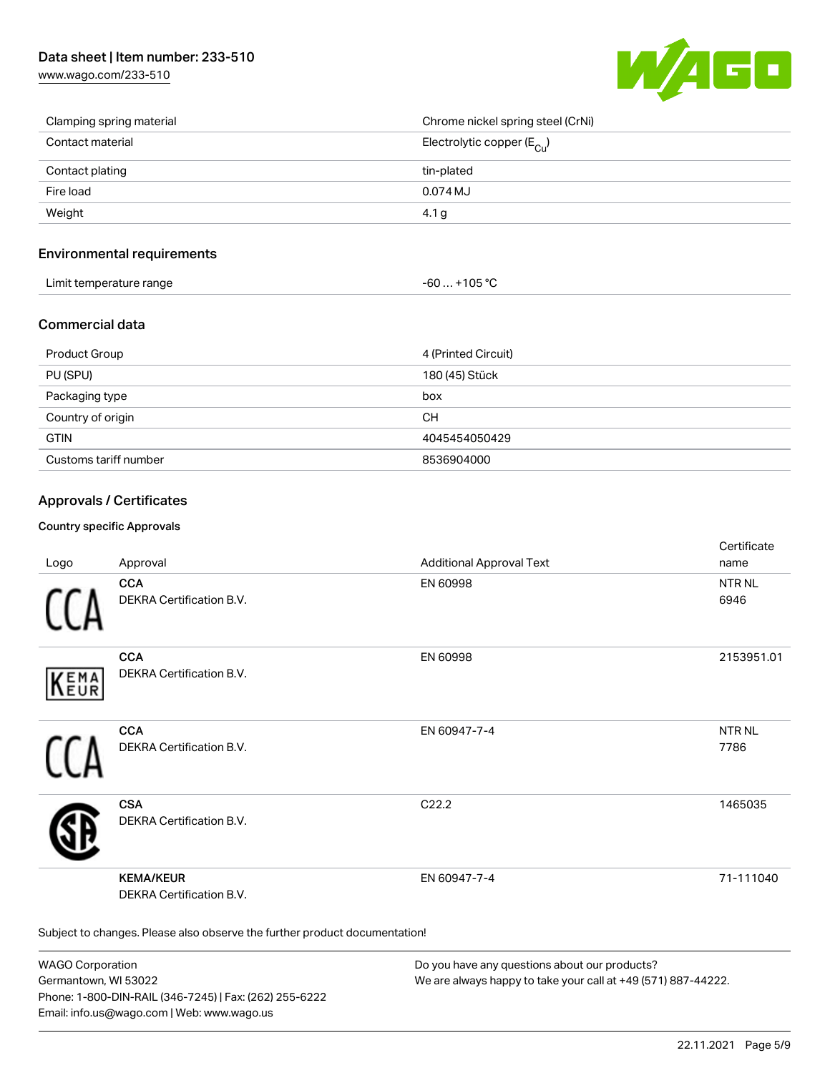[www.wago.com/233-510](http://www.wago.com/233-510)



| Clamping spring material | Chrome nickel spring steel (CrNi)       |
|--------------------------|-----------------------------------------|
| Contact material         | Electrolytic copper ( $E_{\text{Cl}}$ ) |
| Contact plating          | tin-plated                              |
| Fire load                | 0.074 MJ                                |
| Weight                   | 4.1 g                                   |

### Environmental requirements

| Limit temperature range | $-60+105 °C$ |
|-------------------------|--------------|
|-------------------------|--------------|

### Commercial data

| <b>Product Group</b>  | 4 (Printed Circuit) |
|-----------------------|---------------------|
| PU (SPU)              | 180 (45) Stück      |
| Packaging type        | box                 |
| Country of origin     | CН                  |
| <b>GTIN</b>           | 4045454050429       |
| Customs tariff number | 8536904000          |

### Approvals / Certificates

#### Country specific Approvals

| Logo       | Approval                                                                   | <b>Additional Approval Text</b> | Certificate<br>name   |
|------------|----------------------------------------------------------------------------|---------------------------------|-----------------------|
|            | <b>CCA</b><br>DEKRA Certification B.V.                                     | EN 60998                        | <b>NTR NL</b><br>6946 |
| EMA<br>EUR | <b>CCA</b><br>DEKRA Certification B.V.                                     | EN 60998                        | 2153951.01            |
|            | <b>CCA</b><br>DEKRA Certification B.V.                                     | EN 60947-7-4                    | <b>NTRNL</b><br>7786  |
|            | <b>CSA</b><br>DEKRA Certification B.V.                                     | C22.2                           | 1465035               |
|            | <b>KEMA/KEUR</b><br>DEKRA Certification B.V.                               | EN 60947-7-4                    | 71-111040             |
|            | Subject to changes. Please also observe the further product documentation! |                                 |                       |

WAGO Corporation Germantown, WI 53022 Phone: 1-800-DIN-RAIL (346-7245) | Fax: (262) 255-6222 Email: info.us@wago.com | Web: www.wago.us

Do you have any questions about our products? We are always happy to take your call at +49 (571) 887-44222.

certificate in the contraction of the contraction of the contraction of the contraction of the contraction of the contraction of the contraction of the contraction of the contraction of the contraction of the contraction o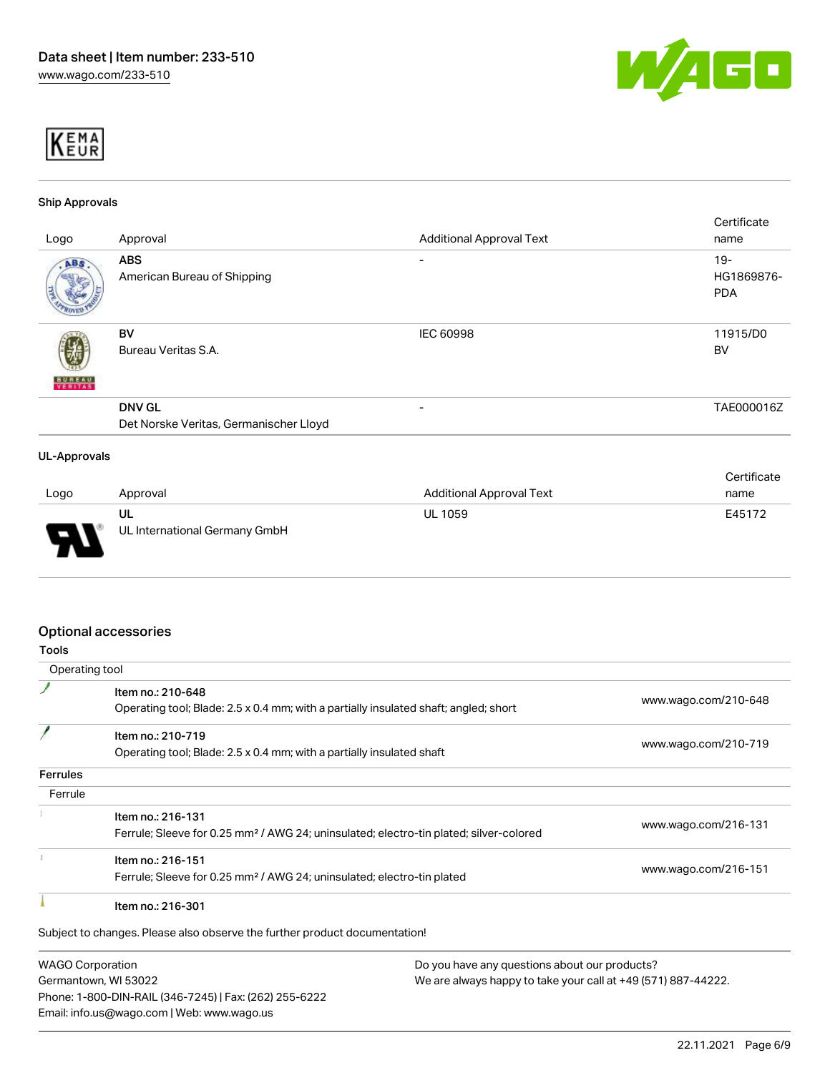



#### Ship Approvals

| Logo                | Approval                                                | <b>Additional Approval Text</b> | Certificate<br>name                |
|---------------------|---------------------------------------------------------|---------------------------------|------------------------------------|
| ABS.                | <b>ABS</b><br>American Bureau of Shipping               | -                               | $19 -$<br>HG1869876-<br><b>PDA</b> |
| <b>BUREAU</b>       | BV<br>Bureau Veritas S.A.                               | <b>IEC 60998</b>                | 11915/D0<br><b>BV</b>              |
|                     | <b>DNV GL</b><br>Det Norske Veritas, Germanischer Lloyd | -                               | TAE000016Z                         |
| <b>UL-Approvals</b> |                                                         |                                 | Certificate                        |

| Logo | Approval                            | Additional Approval Text | name   |
|------|-------------------------------------|--------------------------|--------|
| L    | ul<br>UL International Germany GmbH | <b>UL 1059</b>           | E45172 |

### Optional accessories

Germantown, WI 53022

Phone: 1-800-DIN-RAIL (346-7245) | Fax: (262) 255-6222

Email: info.us@wago.com | Web: www.wago.us

| <b>Tools</b>                                                             |                                                                                                    |                      |
|--------------------------------------------------------------------------|----------------------------------------------------------------------------------------------------|----------------------|
| Operating tool                                                           |                                                                                                    |                      |
|                                                                          | Item no.: 210-648                                                                                  |                      |
|                                                                          | Operating tool; Blade: 2.5 x 0.4 mm; with a partially insulated shaft; angled; short               | www.wago.com/210-648 |
|                                                                          | Item no.: 210-719                                                                                  |                      |
|                                                                          | Operating tool; Blade: 2.5 x 0.4 mm; with a partially insulated shaft                              | www.wago.com/210-719 |
| <b>Ferrules</b>                                                          |                                                                                                    |                      |
| Ferrule                                                                  |                                                                                                    |                      |
|                                                                          | Item no.: 216-131                                                                                  |                      |
|                                                                          | Ferrule; Sleeve for 0.25 mm <sup>2</sup> / AWG 24; uninsulated; electro-tin plated; silver-colored | www.wago.com/216-131 |
|                                                                          | Item no.: 216-151                                                                                  |                      |
|                                                                          | Ferrule; Sleeve for 0.25 mm <sup>2</sup> / AWG 24; uninsulated; electro-tin plated                 | www.wago.com/216-151 |
|                                                                          | Item no.: 216-301                                                                                  |                      |
|                                                                          | Subject to changes. Please also observe the further product documentation!                         |                      |
| <b>WAGO Corporation</b><br>Do you have any questions about our products? |                                                                                                    |                      |

We are always happy to take your call at +49 (571) 887-44222.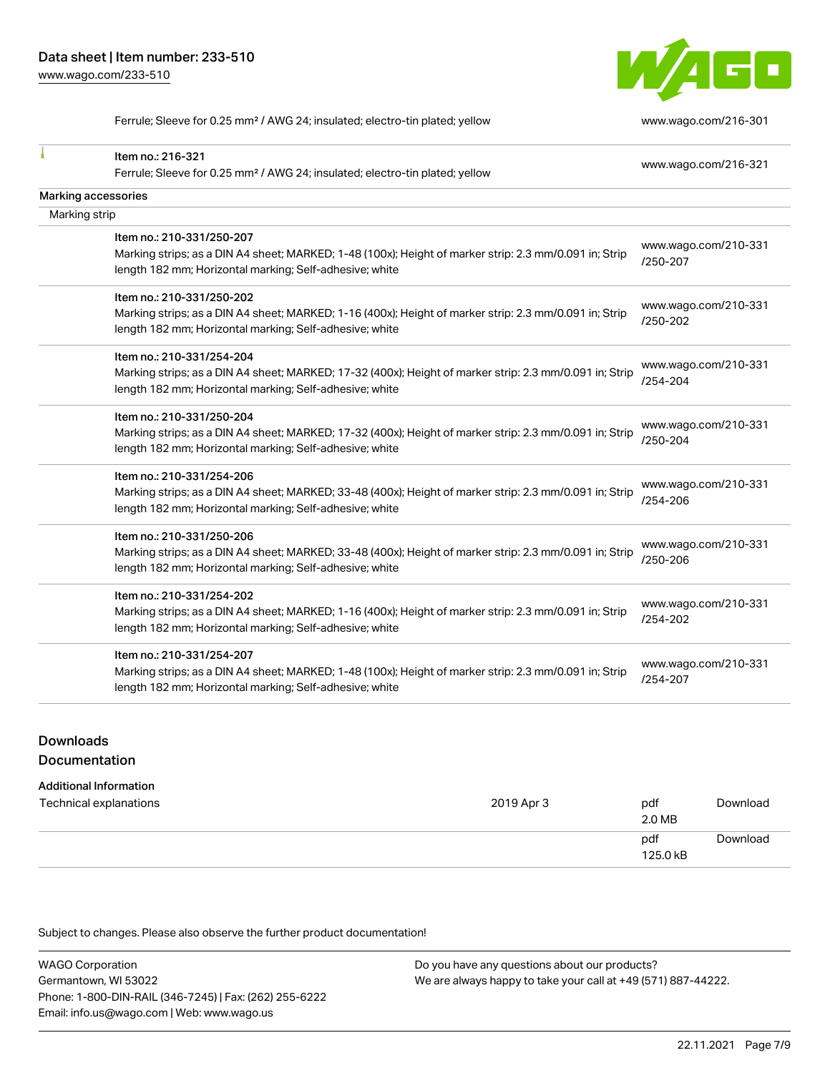

Ferrule; Sleeve for 0.25 mm² / AWG 24; insulated; electro-tin plated; yellow [www.wago.com/216-301](http://www.wago.com/216-301)

| Item no.: 216-321                                                                                                                                                 | www.wago.com/216-321             |
|-------------------------------------------------------------------------------------------------------------------------------------------------------------------|----------------------------------|
| Ferrule; Sleeve for 0.25 mm <sup>2</sup> / AWG 24; insulated; electro-tin plated; yellow                                                                          |                                  |
| Marking accessories                                                                                                                                               |                                  |
| Marking strip                                                                                                                                                     |                                  |
| Item no.: 210-331/250-207                                                                                                                                         |                                  |
| Marking strips; as a DIN A4 sheet; MARKED; 1-48 (100x); Height of marker strip: 2.3 mm/0.091 in; Strip<br>length 182 mm; Horizontal marking; Self-adhesive; white | www.wago.com/210-331<br>/250-207 |
| Item no.: 210-331/250-202                                                                                                                                         |                                  |
| Marking strips; as a DIN A4 sheet; MARKED; 1-16 (400x); Height of marker strip: 2.3 mm/0.091 in; Strip<br>length 182 mm; Horizontal marking; Self-adhesive; white | www.wago.com/210-331<br>/250-202 |
| Item no.: 210-331/254-204                                                                                                                                         |                                  |
| Marking strips; as a DIN A4 sheet; MARKED; 17-32 (400x); Height of marker strip: 2.3 mm/0.091 in; Strip                                                           | www.wago.com/210-331<br>/254-204 |
| length 182 mm; Horizontal marking; Self-adhesive; white                                                                                                           |                                  |
| Item no.: 210-331/250-204                                                                                                                                         |                                  |
| Marking strips; as a DIN A4 sheet; MARKED; 17-32 (400x); Height of marker strip: 2.3 mm/0.091 in; Strip                                                           | www.wago.com/210-331             |
| length 182 mm; Horizontal marking; Self-adhesive; white                                                                                                           | /250-204                         |
| Item no.: 210-331/254-206                                                                                                                                         |                                  |
| Marking strips; as a DIN A4 sheet; MARKED; 33-48 (400x); Height of marker strip: 2.3 mm/0.091 in; Strip                                                           | www.wago.com/210-331             |
| length 182 mm; Horizontal marking; Self-adhesive; white                                                                                                           | /254-206                         |
| Item no.: 210-331/250-206                                                                                                                                         |                                  |
| Marking strips; as a DIN A4 sheet; MARKED; 33-48 (400x); Height of marker strip: 2.3 mm/0.091 in; Strip                                                           | www.wago.com/210-331             |
| length 182 mm; Horizontal marking; Self-adhesive; white                                                                                                           | /250-206                         |
| Item no.: 210-331/254-202                                                                                                                                         |                                  |
| Marking strips; as a DIN A4 sheet; MARKED; 1-16 (400x); Height of marker strip: 2.3 mm/0.091 in; Strip                                                            | www.wago.com/210-331             |
| length 182 mm; Horizontal marking; Self-adhesive; white                                                                                                           | /254-202                         |
| Item no.: 210-331/254-207                                                                                                                                         |                                  |
| Marking strips; as a DIN A4 sheet; MARKED; 1-48 (100x); Height of marker strip: 2.3 mm/0.091 in; Strip                                                            | www.wago.com/210-331             |
| length 182 mm; Horizontal marking; Self-adhesive; white                                                                                                           | /254-207                         |

# **Downloads** Documentation

#### Additional Information

| Technical explanations | 2019 Apr 3 | pdf<br>2.0 MB   | Download |
|------------------------|------------|-----------------|----------|
|                        |            | pdf<br>125.0 kB | Download |

Subject to changes. Please also observe the further product documentation!

WAGO Corporation Germantown, WI 53022 Phone: 1-800-DIN-RAIL (346-7245) | Fax: (262) 255-6222 Email: info.us@wago.com | Web: www.wago.us Do you have any questions about our products? We are always happy to take your call at +49 (571) 887-44222.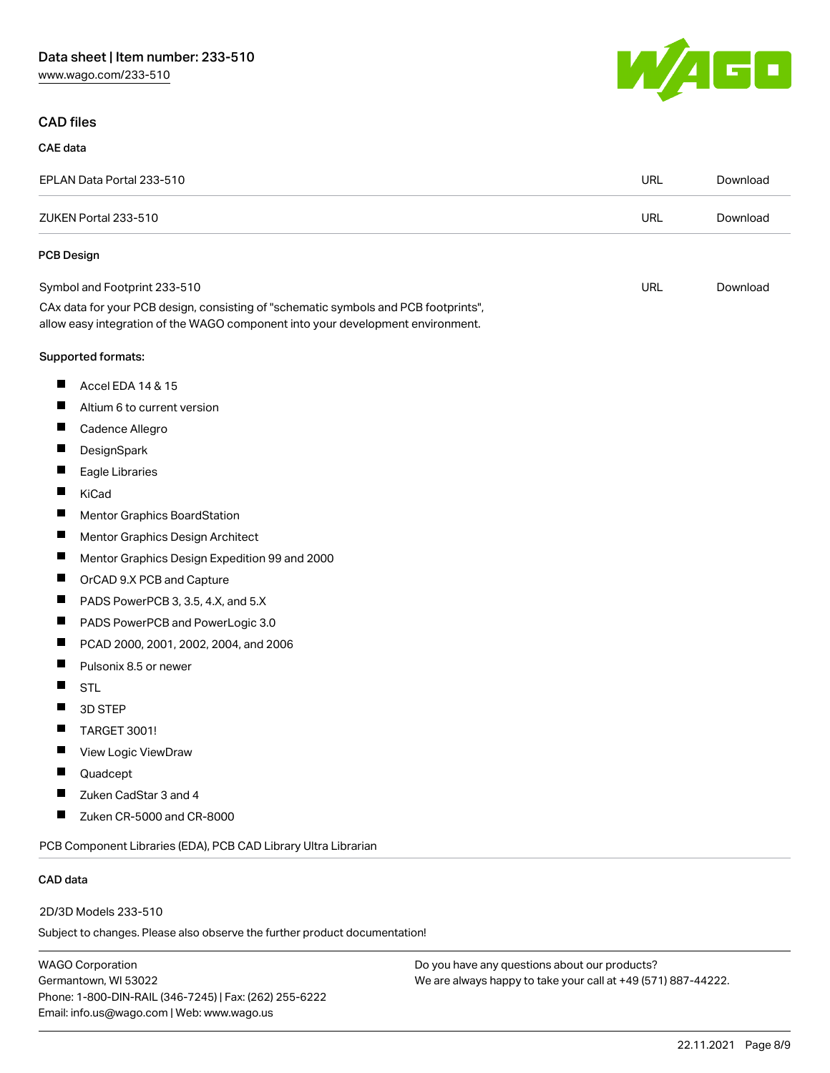[www.wago.com/233-510](http://www.wago.com/233-510)

## CAD files

### CAE data

| EPLAN Data Portal 233-510                                                                                                                                              | URL        | Download |
|------------------------------------------------------------------------------------------------------------------------------------------------------------------------|------------|----------|
| ZUKEN Portal 233-510                                                                                                                                                   | <b>URL</b> | Download |
| <b>PCB Design</b>                                                                                                                                                      |            |          |
| Symbol and Footprint 233-510                                                                                                                                           | <b>URL</b> | Download |
| CAx data for your PCB design, consisting of "schematic symbols and PCB footprints",<br>allow easy integration of the WAGO component into your development environment. |            |          |
| Supported formats:                                                                                                                                                     |            |          |
| ш<br>Accel EDA 14 & 15                                                                                                                                                 |            |          |
| ш<br>Altium 6 to current version                                                                                                                                       |            |          |
| Cadence Allegro<br>ш                                                                                                                                                   |            |          |
| DesignSpark<br>ш                                                                                                                                                       |            |          |
| Eagle Libraries                                                                                                                                                        |            |          |
| KiCad                                                                                                                                                                  |            |          |
| Mentor Graphics BoardStation                                                                                                                                           |            |          |
| Ш<br>Mentor Graphics Design Architect                                                                                                                                  |            |          |
| Mentor Graphics Design Expedition 99 and 2000                                                                                                                          |            |          |
| OrCAD 9.X PCB and Capture                                                                                                                                              |            |          |
| PADS PowerPCB 3, 3.5, 4.X, and 5.X<br>L                                                                                                                                |            |          |
| п<br>PADS PowerPCB and PowerLogic 3.0                                                                                                                                  |            |          |
| PCAD 2000, 2001, 2002, 2004, and 2006                                                                                                                                  |            |          |
| Pulsonix 8.5 or newer                                                                                                                                                  |            |          |
| ш<br><b>STL</b>                                                                                                                                                        |            |          |
| 3D STEP                                                                                                                                                                |            |          |
| <b>TARGET 3001!</b>                                                                                                                                                    |            |          |
| Ш<br>View Logic ViewDraw                                                                                                                                               |            |          |
| Quadcept                                                                                                                                                               |            |          |
| Zuken CadStar 3 and 4                                                                                                                                                  |            |          |
| Zuken CR-5000 and CR-8000                                                                                                                                              |            |          |
| PCB Component Libraries (EDA), PCB CAD Library Ultra Librarian                                                                                                         |            |          |
| CAD data                                                                                                                                                               |            |          |

2D/3D Models 233-510

Subject to changes. Please also observe the further product documentation!

WAGO Corporation Germantown, WI 53022 Phone: 1-800-DIN-RAIL (346-7245) | Fax: (262) 255-6222 Email: info.us@wago.com | Web: www.wago.us